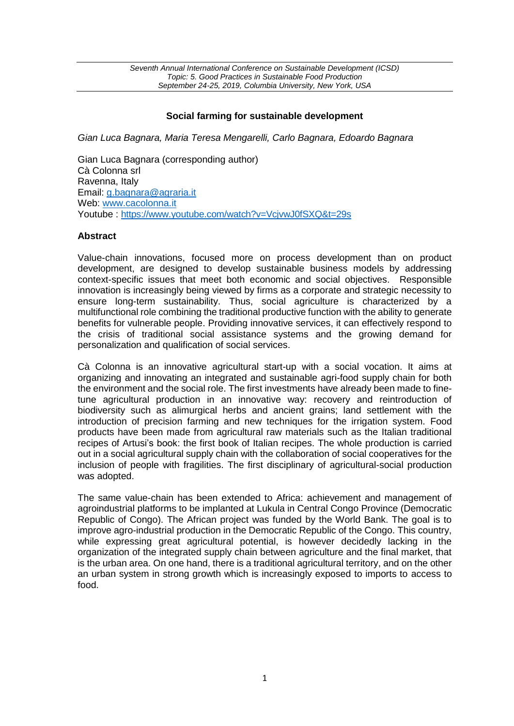# **Social farming for sustainable development**

*Gian Luca Bagnara, Maria Teresa Mengarelli, Carlo Bagnara, Edoardo Bagnara*

Gian Luca Bagnara (corresponding author) Cà Colonna srl Ravenna, Italy Email: [g.bagnara@agraria.it](mailto:g.bagnara@agraria.it) Web: [www.cacolonna.it](http://www.cacolonna.it/) Youtube :<https://www.youtube.com/watch?v=VcjvwJ0fSXQ&t=29s>

### **Abstract**

Value-chain innovations, focused more on process development than on product development, are designed to develop sustainable business models by addressing context-specific issues that meet both economic and social objectives. Responsible innovation is increasingly being viewed by firms as a corporate and strategic necessity to ensure long-term sustainability. Thus, social agriculture is characterized by a multifunctional role combining the traditional productive function with the ability to generate benefits for vulnerable people. Providing innovative services, it can effectively respond to the crisis of traditional social assistance systems and the growing demand for personalization and qualification of social services.

Cà Colonna is an innovative agricultural start-up with a social vocation. It aims at organizing and innovating an integrated and sustainable agri-food supply chain for both the environment and the social role. The first investments have already been made to finetune agricultural production in an innovative way: recovery and reintroduction of biodiversity such as alimurgical herbs and ancient grains; land settlement with the introduction of precision farming and new techniques for the irrigation system. Food products have been made from agricultural raw materials such as the Italian traditional recipes of Artusi's book: the first book of Italian recipes. The whole production is carried out in a social agricultural supply chain with the collaboration of social cooperatives for the inclusion of people with fragilities. The first disciplinary of agricultural-social production was adopted.

The same value-chain has been extended to Africa: achievement and management of agroindustrial platforms to be implanted at Lukula in Central Congo Province (Democratic Republic of Congo). The African project was funded by the World Bank. The goal is to improve agro-industrial production in the Democratic Republic of the Congo. This country, while expressing great agricultural potential, is however decidedly lacking in the organization of the integrated supply chain between agriculture and the final market, that is the urban area. On one hand, there is a traditional agricultural territory, and on the other an urban system in strong growth which is increasingly exposed to imports to access to food.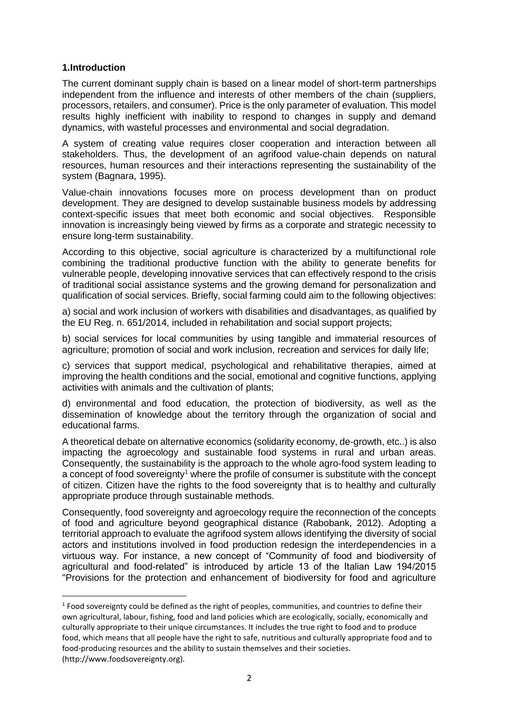### **1.Introduction**

**.** 

The current dominant supply chain is based on a linear model of short-term partnerships independent from the influence and interests of other members of the chain (suppliers, processors, retailers, and consumer). Price is the only parameter of evaluation. This model results highly inefficient with inability to respond to changes in supply and demand dynamics, with wasteful processes and environmental and social degradation.

A system of creating value requires closer cooperation and interaction between all stakeholders. Thus, the development of an agrifood value-chain depends on natural resources, human resources and their interactions representing the sustainability of the system (Bagnara, 1995).

Value-chain innovations focuses more on process development than on product development. They are designed to develop sustainable business models by addressing context-specific issues that meet both economic and social objectives. Responsible innovation is increasingly being viewed by firms as a corporate and strategic necessity to ensure long-term sustainability.

According to this objective, social agriculture is characterized by a multifunctional role combining the traditional productive function with the ability to generate benefits for vulnerable people, developing innovative services that can effectively respond to the crisis of traditional social assistance systems and the growing demand for personalization and qualification of social services. Briefly, social farming could aim to the following objectives:

a) social and work inclusion of workers with disabilities and disadvantages, as qualified by the EU Reg. n. 651/2014, included in rehabilitation and social support projects;

b) social services for local communities by using tangible and immaterial resources of agriculture; promotion of social and work inclusion, recreation and services for daily life;

c) services that support medical, psychological and rehabilitative therapies, aimed at improving the health conditions and the social, emotional and cognitive functions, applying activities with animals and the cultivation of plants;

d) environmental and food education, the protection of biodiversity, as well as the dissemination of knowledge about the territory through the organization of social and educational farms.

A theoretical debate on alternative economics (solidarity economy, de-growth, etc..) is also impacting the agroecology and sustainable food systems in rural and urban areas. Consequently, the sustainability is the approach to the whole agro-food system leading to a concept of food sovereignty<sup>1</sup> where the profile of consumer is substitute with the concept of citizen. Citizen have the rights to the food sovereignty that is to healthy and culturally appropriate produce through sustainable methods.

Consequently, food sovereignty and agroecology require the reconnection of the concepts of food and agriculture beyond geographical distance (Rabobank, 2012). Adopting a territorial approach to evaluate the agrifood system allows identifying the diversity of social actors and institutions involved in food production redesign the interdependencies in a virtuous way. For instance, a new concept of "Community of food and biodiversity of agricultural and food-related" is introduced by article 13 of the Italian Law 194/2015 "Provisions for the protection and enhancement of biodiversity for food and agriculture

 $1$  Food sovereignty could be defined as the right of peoples, communities, and countries to define their own agricultural, labour, fishing, food and land policies which are ecologically, socially, economically and culturally appropriate to their unique circumstances. It includes the true right to food and to produce food, which means that all people have the right to safe, nutritious and culturally appropriate food and to food-producing resources and the ability to sustain themselves and their societies. (http://www.foodsovereignty.org).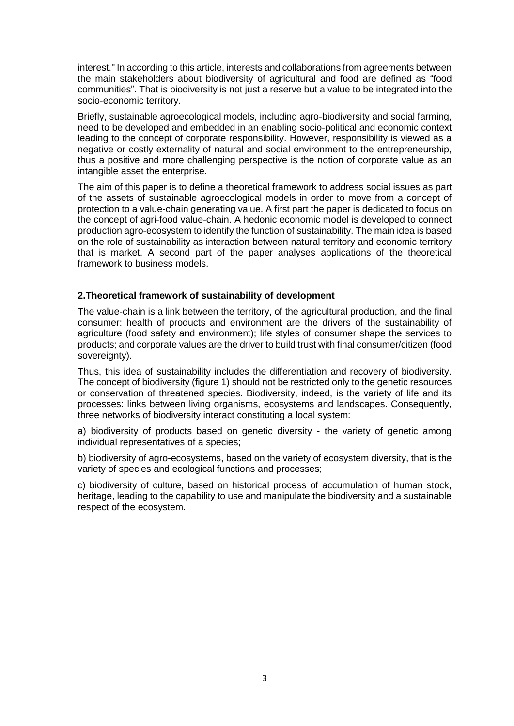interest." In according to this article, interests and collaborations from agreements between the main stakeholders about biodiversity of agricultural and food are defined as "food communities". That is biodiversity is not just a reserve but a value to be integrated into the socio-economic territory.

Briefly, sustainable agroecological models, including agro-biodiversity and social farming, need to be developed and embedded in an enabling socio-political and economic context leading to the concept of corporate responsibility. However, responsibility is viewed as a negative or costly externality of natural and social environment to the entrepreneurship, thus a positive and more challenging perspective is the notion of corporate value as an intangible asset the enterprise.

The aim of this paper is to define a theoretical framework to address social issues as part of the assets of sustainable agroecological models in order to move from a concept of protection to a value-chain generating value. A first part the paper is dedicated to focus on the concept of agri-food value-chain. A hedonic economic model is developed to connect production agro-ecosystem to identify the function of sustainability. The main idea is based on the role of sustainability as interaction between natural territory and economic territory that is market. A second part of the paper analyses applications of the theoretical framework to business models.

### **2.Theoretical framework of sustainability of development**

The value-chain is a link between the territory, of the agricultural production, and the final consumer: health of products and environment are the drivers of the sustainability of agriculture (food safety and environment); life styles of consumer shape the services to products; and corporate values are the driver to build trust with final consumer/citizen (food sovereignty).

Thus, this idea of sustainability includes the differentiation and recovery of biodiversity. The concept of biodiversity (figure 1) should not be restricted only to the genetic resources or conservation of threatened species. Biodiversity, indeed, is the variety of life and its processes: links between living organisms, ecosystems and landscapes. Consequently, three networks of biodiversity interact constituting a local system:

a) biodiversity of products based on genetic diversity - the variety of genetic among individual representatives of a species;

b) biodiversity of agro-ecosystems, based on the variety of ecosystem diversity, that is the variety of species and ecological functions and processes;

c) biodiversity of culture, based on historical process of accumulation of human stock, heritage, leading to the capability to use and manipulate the biodiversity and a sustainable respect of the ecosystem.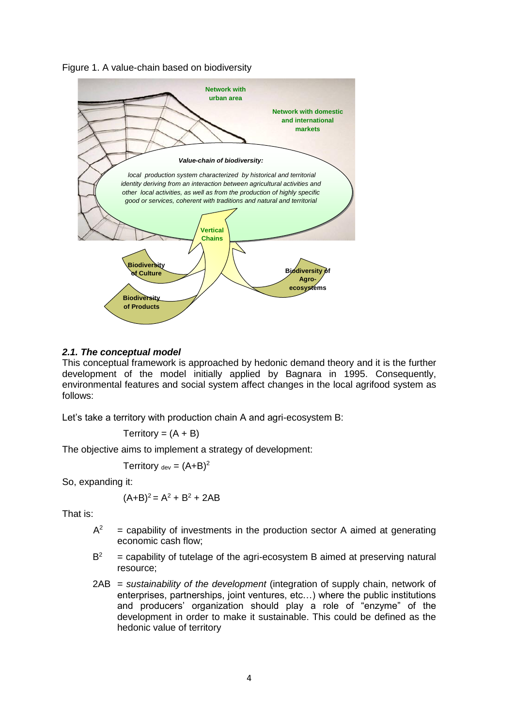Figure 1. A value-chain based on biodiversity



### *2.1. The conceptual model*

This conceptual framework is approached by hedonic demand theory and it is the further development of the model initially applied by Bagnara in 1995. Consequently, environmental features and social system affect changes in the local agrifood system as follows:

Let's take a territory with production chain A and agri-ecosystem B:

$$
Territory = (A + B)
$$

The objective aims to implement a strategy of development:

Territory  $_{dev} = (A+B)^2$ 

So, expanding it:

$$
(A+B)^2 = A^2 + B^2 + 2AB
$$

That is:

- $A^2$  $=$  capability of investments in the production sector A aimed at generating economic cash flow;
- $B<sup>2</sup>$ <sup>2</sup>= capability of tutelage of the agri-ecosystem B aimed at preserving natural resource;
- 2AB = *sustainability of the development* (integration of supply chain, network of enterprises, partnerships, joint ventures, etc…) where the public institutions and producers' organization should play a role of "enzyme" of the development in order to make it sustainable. This could be defined as the hedonic value of territory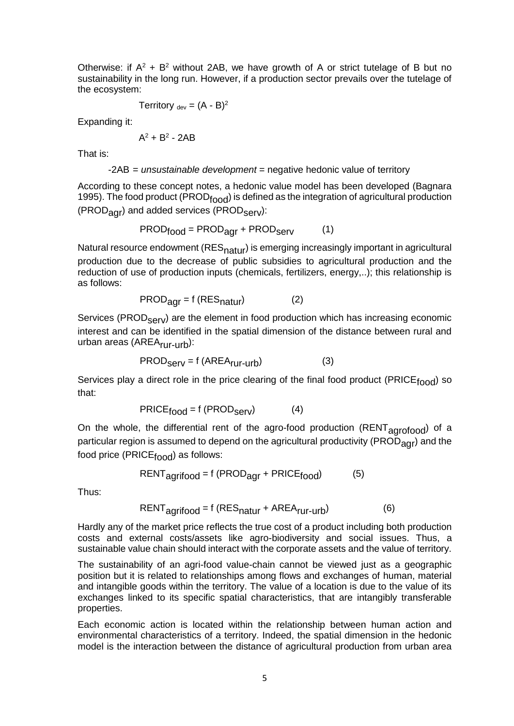Otherwise: if  $A^2 + B^2$  without 2AB, we have growth of A or strict tutelage of B but no sustainability in the long run. However, if a production sector prevails over the tutelage of the ecosystem:

$$
Territory_{\text{dev}} = (A - B)^2
$$

Expanding it:

$$
A^2 + B^2 - 2AB
$$

That is:

-2AB = *unsustainable development* = negative hedonic value of territory

According to these concept notes, a hedonic value model has been developed (Bagnara 1995). The food product (PROD<sub>food</sub>) is defined as the integration of agricultural production (PROD<sub>agr</sub>) and added services (PROD<sub>Serv</sub>):

$$
PROD_{food} = PROD_{agr} + PROD_{serv} \qquad (1)
$$

Natural resource endowment ( $RES<sub>natur</sub>$ ) is emerging increasingly important in agricultural production due to the decrease of public subsidies to agricultural production and the reduction of use of production inputs (chemicals, fertilizers, energy,..); this relationship is as follows:

$$
PROD_{\text{agr}} = f \left( \text{RES}_{\text{natur}} \right) \tag{2}
$$

Services (PROD<sub>Serv</sub>) are the element in food production which has increasing economic interest and can be identified in the spatial dimension of the distance between rural and urban areas (AREA<sub>rur-urb</sub>):

$$
PROD_{\text{Serv}} = f \left( \text{AREA}_{\text{rur-urb}} \right) \tag{3}
$$

Services play a direct role in the price clearing of the final food product (PRICE $_{\text{food}}$ ) so that:

$$
PRICE_{food} = f (PROD_{Serv})
$$
 (4)

On the whole, the differential rent of the agro-food production ( $RENT<sub>a</sub>$ <sub>0</sub> $1$ <sub>0</sub> $1$ <sub>0</sub> $1$ <sup>of</sup> a particular region is assumed to depend on the agricultural productivity (PROD $_{\text{aor}}$ ) and the food price ( $PRICE_{food}$ ) as follows:

$$
RENT_{agrifood} = f (PROD_{agr} + PRICE_{food})
$$
 (5)

Thus:

$$
RENT_{agrifood} = f (RES_{natur} + AREA_{rur-urb})
$$
 (6)

Hardly any of the market price reflects the true cost of a product including both production costs and external costs/assets like agro-biodiversity and social issues. Thus, a sustainable value chain should interact with the corporate assets and the value of territory.

The sustainability of an agri-food value-chain cannot be viewed just as a geographic position but it is related to relationships among flows and exchanges of human, material and intangible goods within the territory. The value of a location is due to the value of its exchanges linked to its specific spatial characteristics, that are intangibly transferable properties.

Each economic action is located within the relationship between human action and environmental characteristics of a territory. Indeed, the spatial dimension in the hedonic model is the interaction between the distance of agricultural production from urban area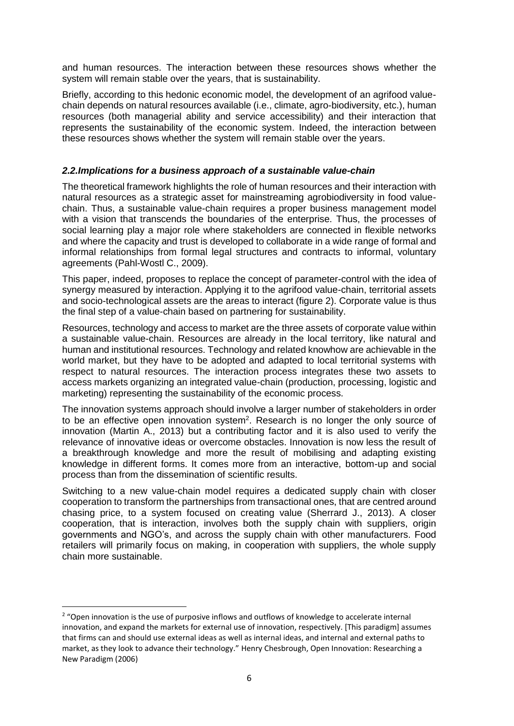and human resources. The interaction between these resources shows whether the system will remain stable over the years, that is sustainability.

Briefly, according to this hedonic economic model, the development of an agrifood valuechain depends on natural resources available (i.e., climate, agro-biodiversity, etc.), human resources (both managerial ability and service accessibility) and their interaction that represents the sustainability of the economic system. Indeed, the interaction between these resources shows whether the system will remain stable over the years.

### *2.2.Implications for a business approach of a sustainable value-chain*

The theoretical framework highlights the role of human resources and their interaction with natural resources as a strategic asset for mainstreaming agrobiodiversity in food valuechain. Thus, a sustainable value-chain requires a proper business management model with a vision that transcends the boundaries of the enterprise. Thus, the processes of social learning play a major role where stakeholders are connected in flexible networks and where the capacity and trust is developed to collaborate in a wide range of formal and informal relationships from formal legal structures and contracts to informal, voluntary agreements (Pahl-Wostl C., 2009).

This paper, indeed, proposes to replace the concept of parameter-control with the idea of synergy measured by interaction. Applying it to the agrifood value-chain, territorial assets and socio-technological assets are the areas to interact (figure 2). Corporate value is thus the final step of a value-chain based on partnering for sustainability.

Resources, technology and access to market are the three assets of corporate value within a sustainable value-chain. Resources are already in the local territory, like natural and human and institutional resources. Technology and related knowhow are achievable in the world market, but they have to be adopted and adapted to local territorial systems with respect to natural resources. The interaction process integrates these two assets to access markets organizing an integrated value-chain (production, processing, logistic and marketing) representing the sustainability of the economic process.

The innovation systems approach should involve a larger number of stakeholders in order to be an effective open innovation system<sup>2</sup>. Research is no longer the only source of innovation (Martin A., 2013) but a contributing factor and it is also used to verify the relevance of innovative ideas or overcome obstacles. Innovation is now less the result of a breakthrough knowledge and more the result of mobilising and adapting existing knowledge in different forms. It comes more from an interactive, bottom-up and social process than from the dissemination of scientific results.

Switching to a new value-chain model requires a dedicated supply chain with closer cooperation to transform the partnerships from transactional ones, that are centred around chasing price, to a system focused on creating value (Sherrard J., 2013). A closer cooperation, that is interaction, involves both the supply chain with suppliers, origin governments and NGO's, and across the supply chain with other manufacturers. Food retailers will primarily focus on making, in cooperation with suppliers, the whole supply chain more sustainable.

**.** 

<sup>&</sup>lt;sup>2</sup> "Open innovation is the use of purposive inflows and outflows of knowledge to accelerate internal innovation, and expand the markets for external use of innovation, respectively. [This paradigm] assumes that firms can and should use external ideas as well as internal ideas, and internal and external paths to market, as they look to advance their technology." Henry Chesbrough, Open Innovation: Researching a New Paradigm (2006)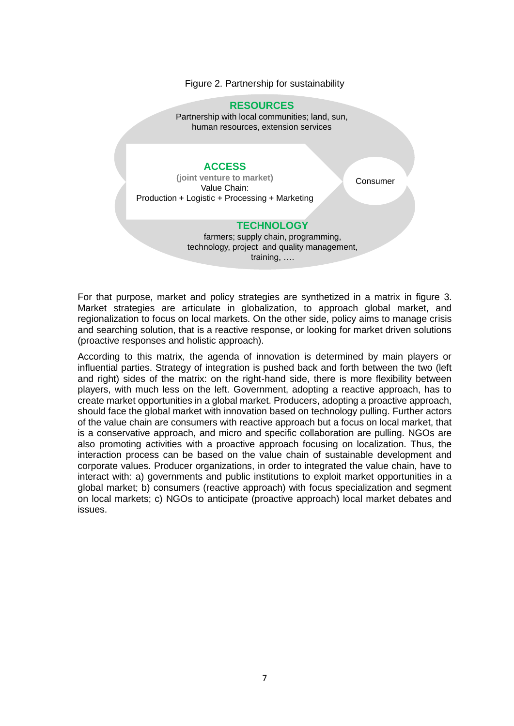#### Figure 2. Partnership for sustainability

#### **RESOURCES**

Partnership with local communities; land, sun, human resources, extension services

#### **ACCESS**

**(joint venture to market)** Value Chain: Production + Logistic + Processing + Marketing

**Consumer** 

### **TECHNOLOGY**

farmers; supply chain, programming, technology, project and quality management, training, ….

For that purpose, market and policy strategies are synthetized in a matrix in figure 3. Market strategies are articulate in globalization, to approach global market, and regionalization to focus on local markets. On the other side, policy aims to manage crisis and searching solution, that is a reactive response, or looking for market driven solutions (proactive responses and holistic approach).

According to this matrix, the agenda of innovation is determined by main players or influential parties. Strategy of integration is pushed back and forth between the two (left and right) sides of the matrix: on the right-hand side, there is more flexibility between players, with much less on the left. Government, adopting a reactive approach, has to create market opportunities in a global market. Producers, adopting a proactive approach, should face the global market with innovation based on technology pulling. Further actors of the value chain are consumers with reactive approach but a focus on local market, that is a conservative approach, and micro and specific collaboration are pulling. NGOs are also promoting activities with a proactive approach focusing on localization. Thus, the interaction process can be based on the value chain of sustainable development and corporate values. Producer organizations, in order to integrated the value chain, have to interact with: a) governments and public institutions to exploit market opportunities in a global market; b) consumers (reactive approach) with focus specialization and segment on local markets; c) NGOs to anticipate (proactive approach) local market debates and issues.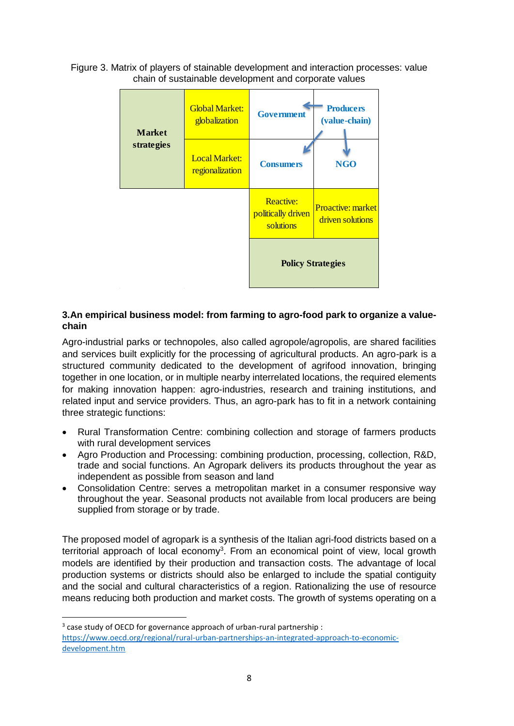Figure 3. Matrix of players of stainable development and interaction processes: value chain of sustainable development and corporate values



## **3.An empirical business model: from farming to agro-food park to organize a valuechain**

Agro-industrial parks or technopoles, also called agropole/agropolis, are shared facilities and services built explicitly for the processing of agricultural products. An agro-park is a structured community dedicated to the development of agrifood innovation, bringing together in one location, or in multiple nearby interrelated locations, the required elements for making innovation happen: agro-industries, research and training institutions, and related input and service providers. Thus, an agro-park has to fit in a network containing three strategic functions:

- Rural Transformation Centre: combining collection and storage of farmers products with rural development services
- Agro Production and Processing: combining production, processing, collection, R&D, trade and social functions. An Agropark delivers its products throughout the year as independent as possible from season and land
- Consolidation Centre: serves a metropolitan market in a consumer responsive way throughout the year. Seasonal products not available from local producers are being supplied from storage or by trade.

The proposed model of agropark is a synthesis of the Italian agri-food districts based on a territorial approach of local economy<sup>3</sup>. From an economical point of view, local growth models are identified by their production and transaction costs. The advantage of local production systems or districts should also be enlarged to include the spatial contiguity and the social and cultural characteristics of a region. Rationalizing the use of resource means reducing both production and market costs. The growth of systems operating on a

1

 $3$  case study of OECD for governance approach of urban-rural partnership : [https://www.oecd.org/regional/rural-urban-partnerships-an-integrated-approach-to-economic](https://www.oecd.org/regional/rural-urban-partnerships-an-integrated-approach-to-economic-development.htm)[development.htm](https://www.oecd.org/regional/rural-urban-partnerships-an-integrated-approach-to-economic-development.htm)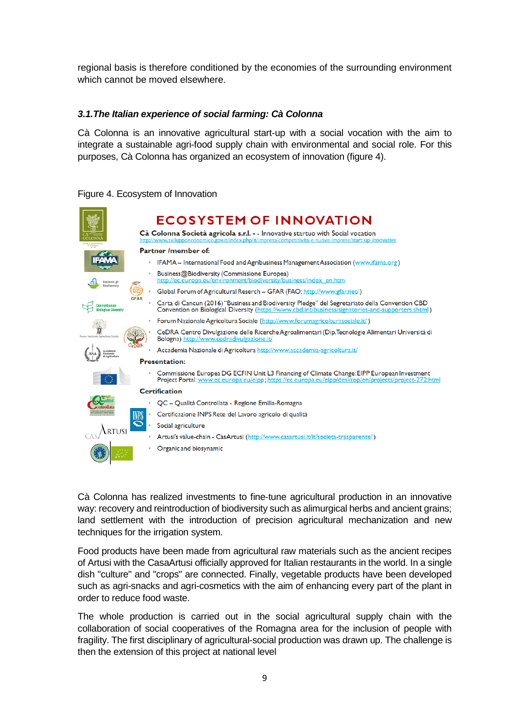regional basis is therefore conditioned by the economies of the surrounding environment which cannot be moved elsewhere.

### *3.1.The Italian experience of social farming: Cà Colonna*

Cà Colonna is an innovative agricultural start-up with a social vocation with the aim to integrate a sustainable agri-food supply chain with environmental and social role. For this purposes, Cà Colonna has organized an ecosystem of innovation (figure 4).

# **ECOSYSTEM OF INNOVATION** Cà Colonna Società agricola s.r.l. - - Innovative startuo with Social vocation Partner /member of: IFAMA - International Food and Agribusiness Management Association (www.ifama.org) Business@Biodiversity (Commissione Europea) usiness/index\_en.htm Global Forum of Agricultural Reserch - GFAR (FAO: http://www.gfar.net/) Carta di Cancun (2016) "Business and Biodiversity Pledge" del Segretariato della Convention CBD Convention on Biological Diversity (https://www. Forum Nazionale Agricoltura Sociale (http://www.forumagricolturasociale.it/) CeDRA Centro Divulgazione delle Ricerche Agroalimentari (Dip.Tecnologie Alimentari Università di Bologna) htt Accademia Nazionale di Agricoltura http://www.accademia-agricoltura.it/ **Presentation:** Commissione Europea DG ECFIN Unit L3 Financing of Climate Change: EIPP European Investment Project Portal: www.ec.europa.eu/eipp; https://ec **Certification** QC - Qualità Controllata - Regione Emilia-Romagna Certificazione INPS Rete del Lavoro agricolo di qualità Social agriculture Artusi's value-chain - CasArtusi (http://www.casartusi.it/it/societa-trasparente/) Organic and biosynamic

### Figure 4. Ecosystem of Innovation

Cà Colonna has realized investments to fine-tune agricultural production in an innovative way: recovery and reintroduction of biodiversity such as alimurgical herbs and ancient grains; land settlement with the introduction of precision agricultural mechanization and new techniques for the irrigation system.

Food products have been made from agricultural raw materials such as the ancient recipes of Artusi with the CasaArtusi officially approved for Italian restaurants in the world. In a single dish "culture" and "crops" are connected. Finally, vegetable products have been developed such as agri-snacks and agri-cosmetics with the aim of enhancing every part of the plant in order to reduce food waste.

The whole production is carried out in the social agricultural supply chain with the collaboration of social cooperatives of the Romagna area for the inclusion of people with fragility. The first disciplinary of agricultural-social production was drawn up. The challenge is then the extension of this project at national level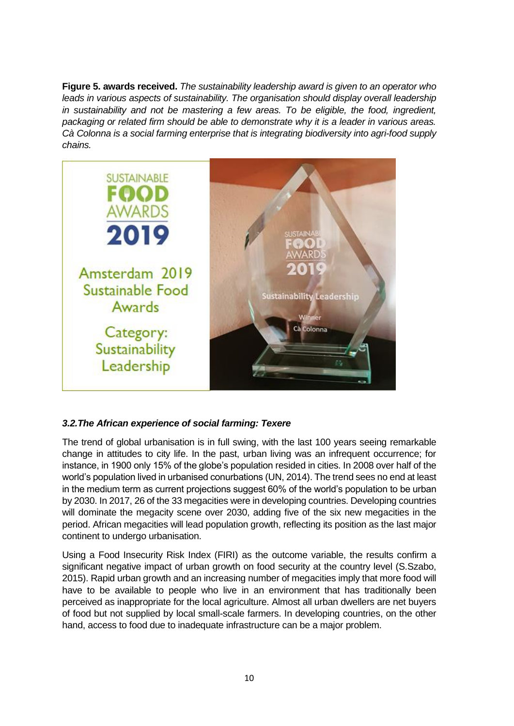**Figure 5. awards received.** *The sustainability leadership award is given to an operator who leads in various aspects of sustainability. The organisation should display overall leadership in sustainability and not be mastering a few areas. To be eligible, the food, ingredient, packaging or related firm should be able to demonstrate why it is a leader in various areas. Cà Colonna is a social farming enterprise that is integrating biodiversity into agri-food supply chains.*



# *3.2.The African experience of social farming: Texere*

The trend of global urbanisation is in full swing, with the last 100 years seeing remarkable change in attitudes to city life. In the past, urban living was an infrequent occurrence; for instance, in 1900 only 15% of the globe's population resided in cities. In 2008 over half of the world's population lived in urbanised conurbations (UN, 2014). The trend sees no end at least in the medium term as current projections suggest 60% of the world's population to be urban by 2030. In 2017, 26 of the 33 megacities were in developing countries. Developing countries will dominate the megacity scene over 2030, adding five of the six new megacities in the period. African megacities will lead population growth, reflecting its position as the last major continent to undergo urbanisation.

Using a Food Insecurity Risk Index (FIRI) as the outcome variable, the results confirm a significant negative impact of urban growth on food security at the country level (S.Szabo, 2015). Rapid urban growth and an increasing number of megacities imply that more food will have to be available to people who live in an environment that has traditionally been perceived as inappropriate for the local agriculture. Almost all urban dwellers are net buyers of food but not supplied by local small-scale farmers. In developing countries, on the other hand, access to food due to inadequate infrastructure can be a major problem.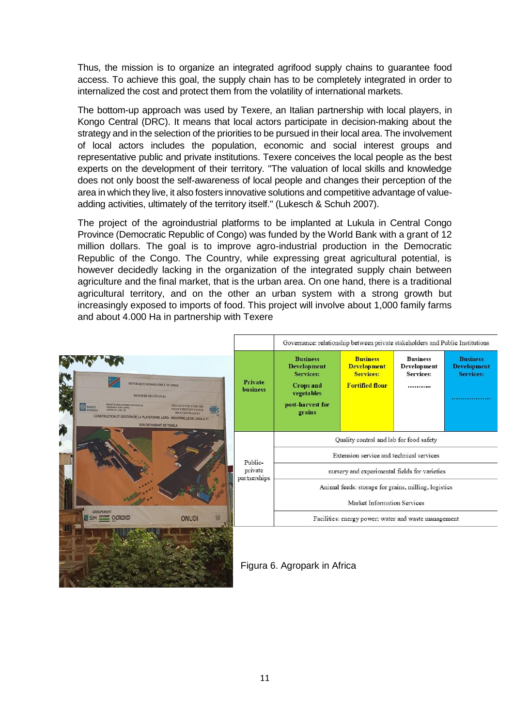Thus, the mission is to organize an integrated agrifood supply chains to guarantee food access. To achieve this goal, the supply chain has to be completely integrated in order to internalized the cost and protect them from the volatility of international markets.

The bottom-up approach was used by Texere, an Italian partnership with local players, in Kongo Central (DRC). It means that local actors participate in decision-making about the strategy and in the selection of the priorities to be pursued in their local area. The involvement of local actors includes the population, economic and social interest groups and representative public and private institutions. Texere conceives the local people as the best experts on the development of their territory. "The valuation of local skills and knowledge does not only boost the self-awareness of local people and changes their perception of the area in which they live, it also fosters innovative solutions and competitive advantage of valueadding activities, ultimately of the territory itself." (Lukesch & Schuh 2007).

The project of the agroindustrial platforms to be implanted at Lukula in Central Congo Province (Democratic Republic of Congo) was funded by the World Bank with a grant of 12 million dollars. The goal is to improve agro-industrial production in the Democratic Republic of the Congo. The Country, while expressing great agricultural potential, is however decidedly lacking in the organization of the integrated supply chain between agriculture and the final market, that is the urban area. On one hand, there is a traditional agricultural territory, and on the other an urban system with a strong growth but increasingly exposed to imports of food. This project will involve about 1,000 family farms and about 4.000 Ha in partnership with Texere

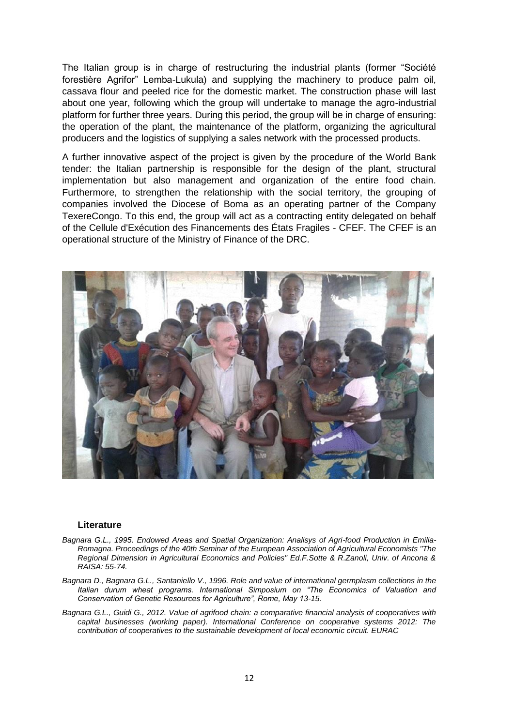The Italian group is in charge of restructuring the industrial plants (former "Société forestière Agrifor" Lemba-Lukula) and supplying the machinery to produce palm oil, cassava flour and peeled rice for the domestic market. The construction phase will last about one year, following which the group will undertake to manage the agro-industrial platform for further three years. During this period, the group will be in charge of ensuring: the operation of the plant, the maintenance of the platform, organizing the agricultural producers and the logistics of supplying a sales network with the processed products.

A further innovative aspect of the project is given by the procedure of the World Bank tender: the Italian partnership is responsible for the design of the plant, structural implementation but also management and organization of the entire food chain. Furthermore, to strengthen the relationship with the social territory, the grouping of companies involved the Diocese of Boma as an operating partner of the Company TexereCongo. To this end, the group will act as a contracting entity delegated on behalf of the Cellule d'Exécution des Financements des États Fragiles - CFEF. The CFEF is an operational structure of the Ministry of Finance of the DRC.



#### **Literature**

- *Bagnara G.L., 1995. Endowed Areas and Spatial Organization: Analisys of Agri-food Production in Emilia-Romagna. Proceedings of the 40th Seminar of the European Association of Agricultural Economists "The Regional Dimension in Agricultural Economics and Policies" Ed.F.Sotte & R.Zanoli, Univ. of Ancona & RAISA: 55-74.*
- *Bagnara D., Bagnara G.L., Santaniello V., 1996. Role and value of international germplasm collections in the Italian durum wheat programs. International Simposium on "The Economics of Valuation and Conservation of Genetic Resources for Agriculture", Rome, May 13-15.*
- *Bagnara G.L., Guidi G., 2012. Value of agrifood chain: a comparative financial analysis of cooperatives with capital businesses (working paper). International Conference on cooperative systems 2012: The contribution of cooperatives to the sustainable development of local economic circuit. EURAC*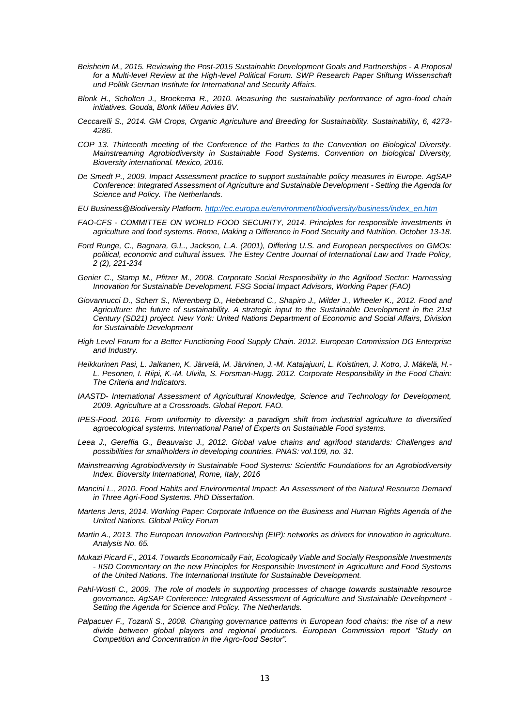- *Beisheim M., 2015. Reviewing the Post-2015 Sustainable Development Goals and Partnerships - A Proposal*  for a Multi-level Review at the High-level Political Forum. SWP Research Paper Stiftung Wissenschaft *und Politik German Institute for International and Security Affairs.*
- *Blonk H., Scholten J., Broekema R., 2010. Measuring the sustainability performance of agro-food chain initiatives. Gouda, Blonk Milieu Advies BV.*
- *Ceccarelli S., 2014. GM Crops, Organic Agriculture and Breeding for Sustainability. Sustainability, 6, 4273- 4286.*
- *COP 13. Thirteenth meeting of the Conference of the Parties to the Convention on Biological Diversity. Mainstreaming Agrobiodiversity in Sustainable Food Systems. Convention on biological Diversity, Bioversity international. Mexico, 2016.*
- *De Smedt P., 2009. Impact Assessment practice to support sustainable policy measures in Europe. AgSAP Conference: Integrated Assessment of Agriculture and Sustainable Development - Setting the Agenda for Science and Policy. The Netherlands.*
- *EU Business@Biodiversity Platform[. http://ec.europa.eu/environment/biodiversity/business/index\\_en.htm](http://ec.europa.eu/environment/biodiversity/business/index_en.htm)*
- *FAO-CFS - COMMITTEE ON WORLD FOOD SECURITY, 2014. Principles for responsible investments in agriculture and food systems. Rome, Making a Difference in Food Security and Nutrition, October 13-18.*
- *Ford Runge, C., Bagnara, G.L., Jackson, L.A. (2001), Differing U.S. and European perspectives on GMOs: political, economic and cultural issues. The Estey Centre Journal of International Law and Trade Policy, 2 (2), 221-234*
- *Genier C., Stamp M., Pfitzer M., 2008. Corporate Social Responsibility in the Agrifood Sector: Harnessing Innovation for Sustainable Development. FSG Social Impact Advisors, Working Paper (FAO)*
- *Giovannucci D., Scherr S., Nierenberg D., Hebebrand C., Shapiro J., Milder J., Wheeler K., 2012. Food and Agriculture: the future of sustainability. A strategic input to the Sustainable Development in the 21st Century (SD21) project. New York: United Nations Department of Economic and Social Affairs, Division for Sustainable Development*
- *High Level Forum for a Better Functioning Food Supply Chain. 2012. European Commission DG Enterprise and Industry.*
- *Heikkurinen Pasi, L. Jalkanen, K. Järvelä, M. Järvinen, J.-M. Katajajuuri, L. Koistinen, J. Kotro, J. Mäkelä, H.- L. Pesonen, I. Riipi, K.-M. Ulvila, S. Forsman-Hugg. 2012. Corporate Responsibility in the Food Chain: The Criteria and Indicators.*
- *IAASTD- International Assessment of Agricultural Knowledge, Science and Technology for Development, 2009. Agriculture at a Crossroads. Global Report. FAO.*
- *IPES-Food. 2016. From uniformity to diversity: a paradigm shift from industrial agriculture to diversified agroecological systems. International Panel of Experts on Sustainable Food systems.*
- *Leea J., Gereffia G., Beauvaisc J., 2012. Global value chains and agrifood standards: Challenges and possibilities for smallholders in developing countries. PNAS: vol.109, no. 31.*
- *Mainstreaming Agrobiodiversity in Sustainable Food Systems: Scientific Foundations for an Agrobiodiversity Index. Bioversity International, Rome, Italy, 2016*
- *Mancini L., 2010. Food Habits and Environmental Impact: An Assessment of the Natural Resource Demand in Three Agri-Food Systems. PhD Dissertation.*
- *Martens Jens, 2014. Working Paper: Corporate Influence on the Business and Human Rights Agenda of the United Nations. Global Policy Forum*
- *Martin A., 2013. The European Innovation Partnership (EIP): networks as drivers for innovation in agriculture. Analysis No. 65.*
- *Mukazi Picard F., 2014. Towards Economically Fair, Ecologically Viable and Socially Responsible Investments - IISD Commentary on the new Principles for Responsible Investment in Agriculture and Food Systems of the United Nations. The International Institute for Sustainable Development.*
- *Pahl-Wostl C., 2009. The role of models in supporting processes of change towards sustainable resource governance. AgSAP Conference: Integrated Assessment of Agriculture and Sustainable Development - Setting the Agenda for Science and Policy. The Netherlands.*
- *Palpacuer F., Tozanli S., 2008. Changing governance patterns in European food chains: the rise of a new divide between global players and regional producers. European Commission report "Study on Competition and Concentration in the Agro-food Sector".*